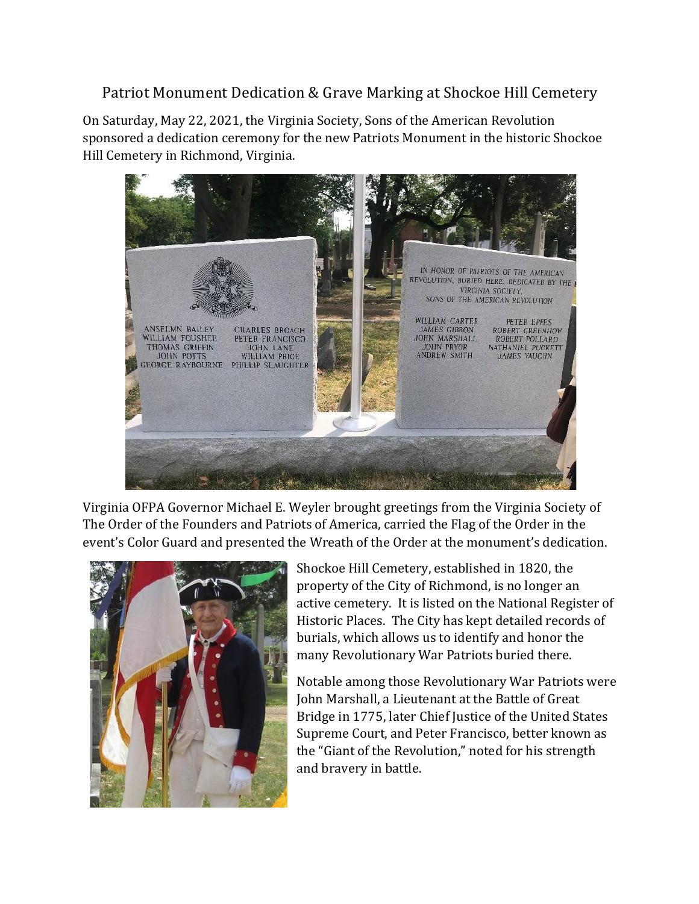## Patriot Monument Dedication & Grave Marking at Shockoe Hill Cemetery

On Saturday, May 22, 2021, the Virginia Society, Sons of the American Revolution sponsored a dedication ceremony for the new Patriots Monument in the historic Shockoe Hill Cemetery in Richmond, Virginia.



Virginia OFPA Governor Michael E. Weyler brought greetings from the Virginia Society of The Order of the Founders and Patriots of America, carried the Flag of the Order in the event's Color Guard and presented the Wreath of the Order at the monument's dedication.



Shockoe Hill Cemetery, established in 1820, the property of the City of Richmond, is no longer an active cemetery. It is listed on the National Register of Historic Places. The City has kept detailed records of burials, which allows us to identify and honor the many Revolutionary War Patriots buried there.

Notable among those Revolutionary War Patriots were John Marshall, a Lieutenant at the Battle of Great Bridge in 1775, later Chief Justice of the United States Supreme Court, and Peter Francisco, better known as the "Giant of the Revolution," noted for his strength and bravery in battle.